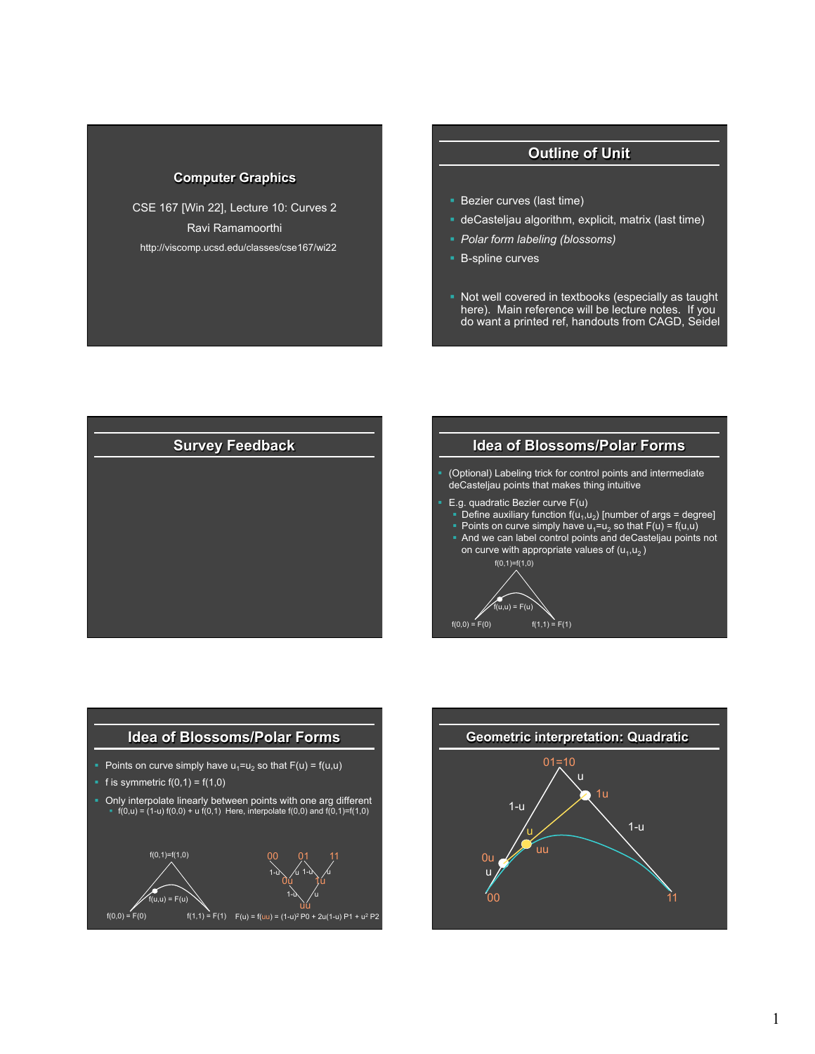# **Computer Graphics**

CSE 167 [Win 22], Lecture 10: Curves 2 Ravi Ramamoorthi http://viscomp.ucsd.edu/classes/cse167/wi22

# **Outline of Unit**

- **Bezier curves (last time)**
- § deCasteljau algorithm, explicit, matrix (last time)
- § *Polar form labeling (blossoms)*
- B-spline curves
- Not well covered in textbooks (especially as taught here). Main reference will be lecture notes. If you do want a printed ref, handouts from CAGD, Seidel



- § (Optional) Labeling trick for control points and intermediate deCasteljau points that makes thing intuitive
	- § E.g. quadratic Bezier curve F(u)
	- Define auxiliary function  $f(u_1, u_2)$  [number of args = degree]
	- Points on curve simply have  $u_1=u_2$  so that  $F(u) = f(u,u)$ § And we can label control points and deCasteljau points not on curve with appropriate values of  $(u_1, u_2)$
	- $f(0,0) = F(0)$   $f(1,1) = F(1)$  $f(0,1)=f(1,0)$ ,<del>..</del><br>(u,u) = F(u)



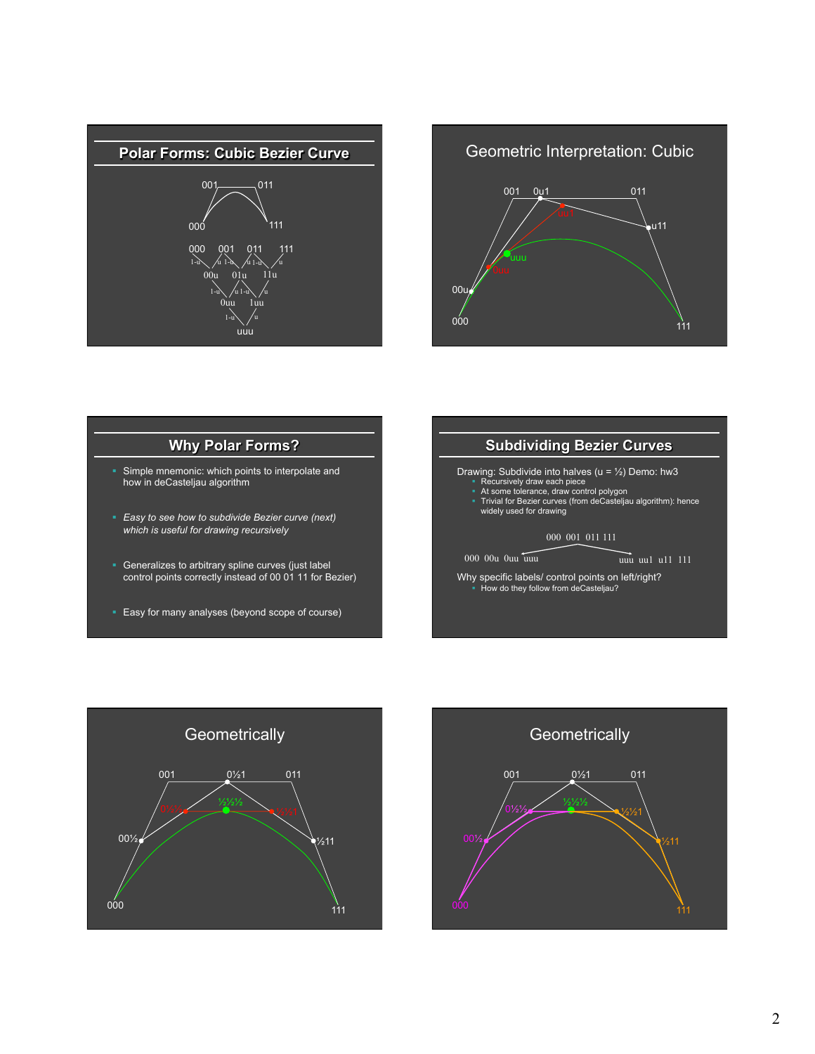



# **Why Polar Forms?**

- Simple mnemonic: which points to interpolate and how in deCasteljau algorithm
- § *Easy to see how to subdivide Bezier curve (next) which is useful for drawing recursively*
- Generalizes to arbitrary spline curves (just label control points correctly instead of 00 01 11 for Bezier)
- Easy for many analyses (beyond scope of course)





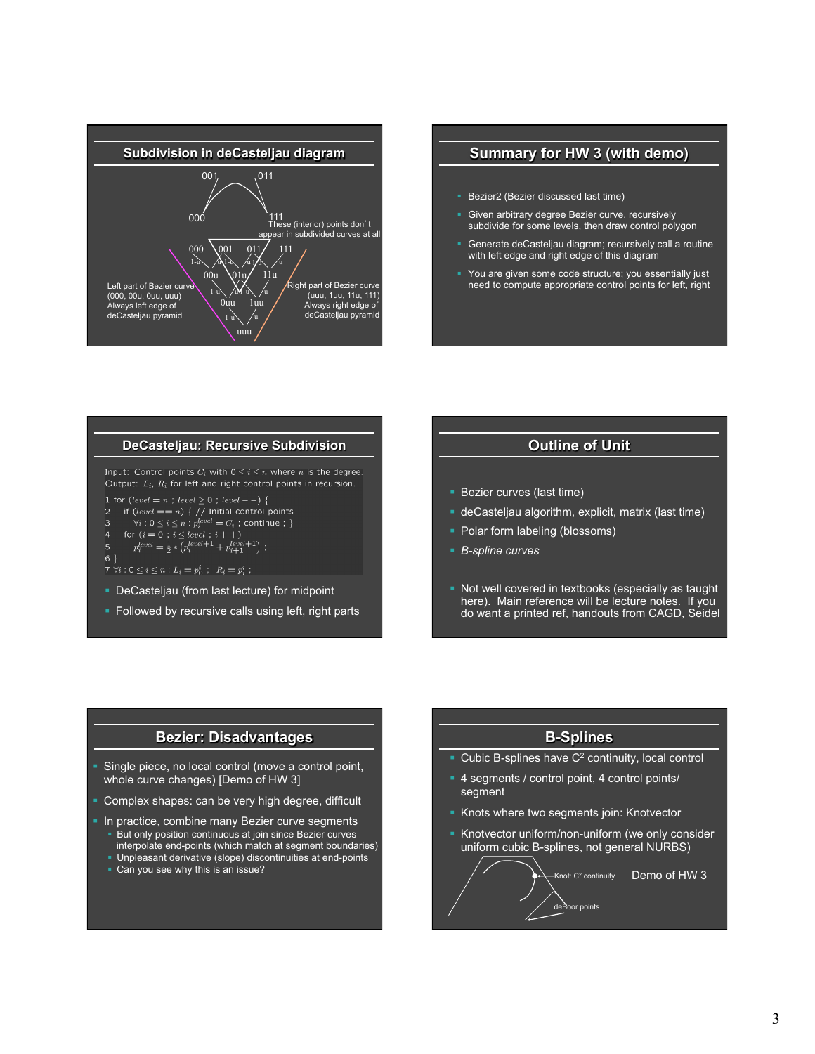

# **Summary for HW 3 (with demo)**

- **Bezier2** (Bezier discussed last time)
- § Given arbitrary degree Bezier curve, recursively subdivide for some levels, then draw control polygon
- § Generate deCasteljau diagram; recursively call a routine with left edge and right edge of this diagram
- § You are given some code structure; you essentially just need to compute appropriate control points for left, right

#### **DeCasteljau: Recursive Subdivision**

Input: Control points  $C_i$  with  $0 \leq i \leq n$  where *n* is the degree. Output:  $L_i$ ,  $R_i$  for left and right control points in recursion.

- 1 for (level = n; level  $\geq 0$ ; level -) {
- 2 if  $(level == n) \{ / / \text{Initial control points} \}$ <br>3  $\forall i : 0 \le i \le n : p_i^{level} = C_i \text{ ; continue ; } \}$
- 
- for  $(i = 0; i \le level; i++)$ <br>  $p_i^{level} = \frac{1}{2} * (p_i^{level+1} + p_{i+1}^{level+1})$ ;  $\overline{4}$
- $6 \}$
- 7  $\forall i: 0 \leq i \leq n: L_i = p_0^i$ ;  $R_i = p_i^i$ ;
- DeCasteljau (from last lecture) for midpoint
- Followed by recursive calls using left, right parts

# **Outline of Unit**

- **Bezier curves (last time)**
- § deCasteljau algorithm, explicit, matrix (last time)
- § Polar form labeling (blossoms)
- § *B-spline curves*
- § Not well covered in textbooks (especially as taught here). Main reference will be lecture notes. If you do want a printed ref, handouts from CAGD, Seidel

### **Bezier: Disadvantages**

- Single piece, no local control (move a control point, whole curve changes) [Demo of HW 3]
- Complex shapes: can be very high degree, difficult
- In practice, combine many Bezier curve segments § But only position continuous at join since Bezier curves interpolate end-points (which match at segment boundaries)
	- Unpleasant derivative (slope) discontinuities at end-points
	- § Can you see why this is an issue?

# **B-Splines**

- § Cubic B-splines have C2 continuity, local control
- § 4 segments / control point, 4 control points/ segment
- Knots where two segments join: Knotvector
- § Knotvector uniform/non-uniform (we only consider uniform cubic B-splines, not general NURBS)

deBoor points

Knot: C<sup>2</sup> continuity Demo of HW 3